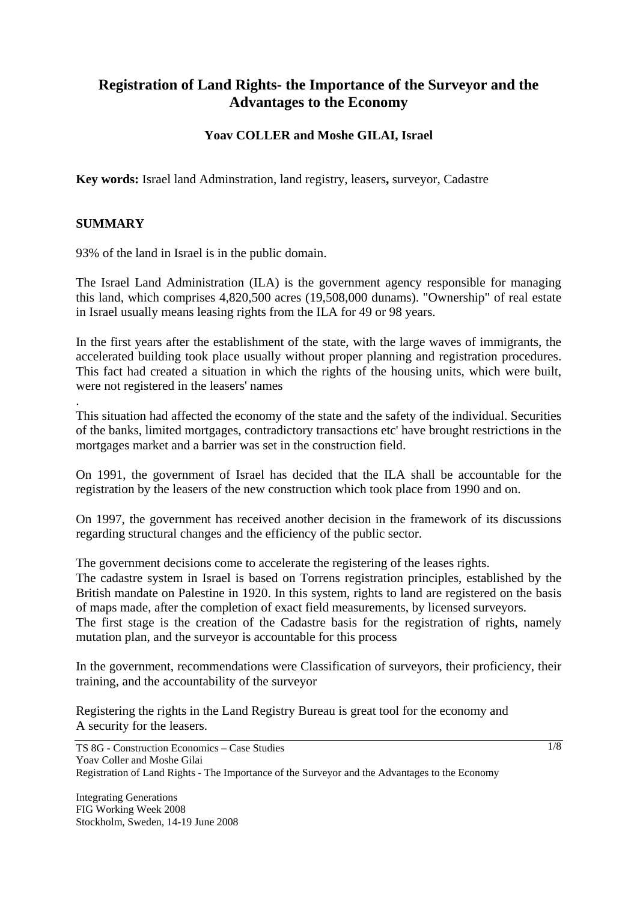# **Registration of Land Rights- the Importance of the Surveyor and the Advantages to the Economy**

# **Yoav COLLER and Moshe GILAI, Israel**

**Key words:** Israel land Adminstration, land registry, leasers**,** surveyor, Cadastre

#### **SUMMARY**

.

93% of the land in Israel is in the public domain.

The Israel Land Administration (ILA) is the government agency responsible for managing this land, which comprises 4,820,500 acres (19,508,000 dunams). "Ownership" of real estate in Israel usually means leasing rights from the ILA for 49 or 98 years.

In the first years after the establishment of the state, with the large waves of immigrants, the accelerated building took place usually without proper planning and registration procedures. This fact had created a situation in which the rights of the housing units, which were built, were not registered in the leasers' names

This situation had affected the economy of the state and the safety of the individual. Securities of the banks, limited mortgages, contradictory transactions etc' have brought restrictions in the mortgages market and a barrier was set in the construction field.

On 1991, the government of Israel has decided that the ILA shall be accountable for the registration by the leasers of the new construction which took place from 1990 and on.

On 1997, the government has received another decision in the framework of its discussions regarding structural changes and the efficiency of the public sector.

The government decisions come to accelerate the registering of the leases rights.

The cadastre system in Israel is based on Torrens registration principles, established by the British mandate on Palestine in 1920. In this system, rights to land are registered on the basis of maps made, after the completion of exact field measurements, by licensed surveyors.

The first stage is the creation of the Cadastre basis for the registration of rights, namely mutation plan, and the surveyor is accountable for this process

In the government, recommendations were Classification of surveyors, their proficiency, their training, and the accountability of the surveyor

Registering the rights in the Land Registry Bureau is great tool for the economy and A security for the leasers.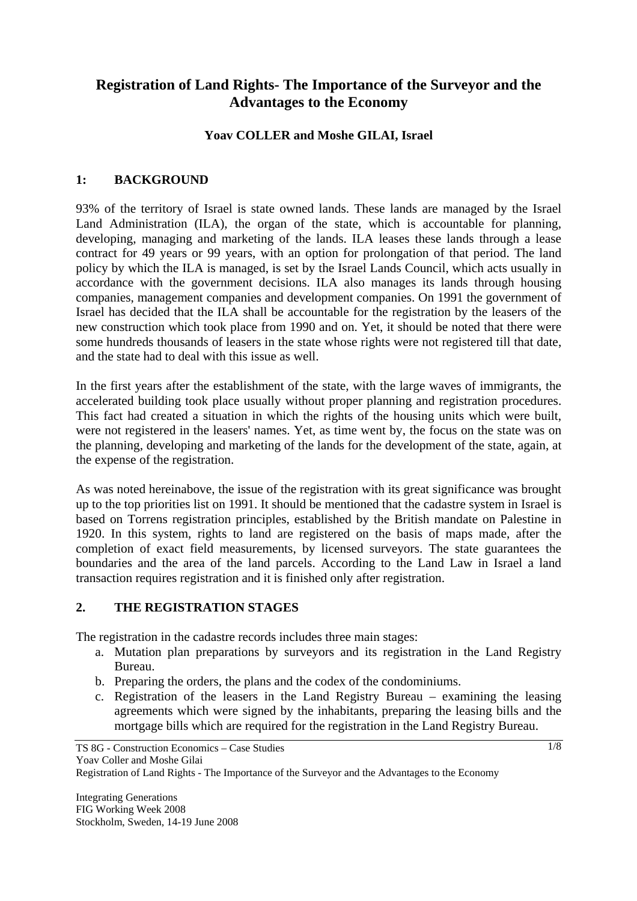# **Registration of Land Rights- The Importance of the Surveyor and the Advantages to the Economy**

#### **Yoav COLLER and Moshe GILAI, Israel**

#### **1: BACKGROUND**

93% of the territory of Israel is state owned lands. These lands are managed by the Israel Land Administration (ILA), the organ of the state, which is accountable for planning, developing, managing and marketing of the lands. ILA leases these lands through a lease contract for 49 years or 99 years, with an option for prolongation of that period. The land policy by which the ILA is managed, is set by the Israel Lands Council, which acts usually in accordance with the government decisions. ILA also manages its lands through housing companies, management companies and development companies. On 1991 the government of Israel has decided that the ILA shall be accountable for the registration by the leasers of the new construction which took place from 1990 and on. Yet, it should be noted that there were some hundreds thousands of leasers in the state whose rights were not registered till that date, and the state had to deal with this issue as well.

In the first years after the establishment of the state, with the large waves of immigrants, the accelerated building took place usually without proper planning and registration procedures. This fact had created a situation in which the rights of the housing units which were built, were not registered in the leasers' names. Yet, as time went by, the focus on the state was on the planning, developing and marketing of the lands for the development of the state, again, at the expense of the registration.

As was noted hereinabove, the issue of the registration with its great significance was brought up to the top priorities list on 1991. It should be mentioned that the cadastre system in Israel is based on Torrens registration principles, established by the British mandate on Palestine in 1920. In this system, rights to land are registered on the basis of maps made, after the completion of exact field measurements, by licensed surveyors. The state guarantees the boundaries and the area of the land parcels. According to the Land Law in Israel a land transaction requires registration and it is finished only after registration.

#### **2. THE REGISTRATION STAGES**

The registration in the cadastre records includes three main stages:

- a. Mutation plan preparations by surveyors and its registration in the Land Registry Bureau.
- b. Preparing the orders, the plans and the codex of the condominiums.
- c. Registration of the leasers in the Land Registry Bureau examining the leasing agreements which were signed by the inhabitants, preparing the leasing bills and the mortgage bills which are required for the registration in the Land Registry Bureau.

TS 8G - Construction Economics – Case Studies Yoav Coller and Moshe Gilai

Registration of Land Rights - The Importance of the Surveyor and the Advantages to the Economy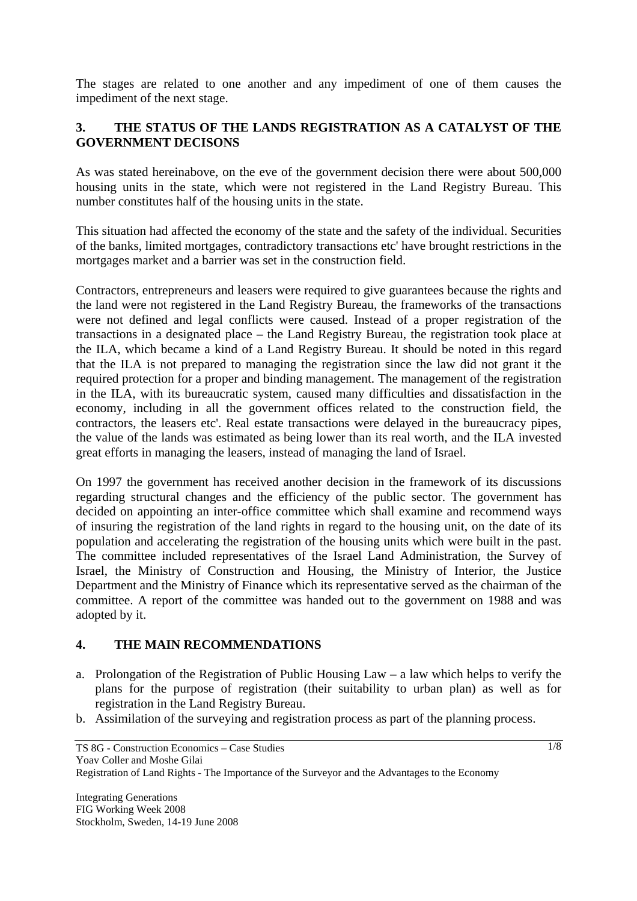The stages are related to one another and any impediment of one of them causes the impediment of the next stage.

# **3. THE STATUS OF THE LANDS REGISTRATION AS A CATALYST OF THE GOVERNMENT DECISONS**

As was stated hereinabove, on the eve of the government decision there were about 500,000 housing units in the state, which were not registered in the Land Registry Bureau. This number constitutes half of the housing units in the state.

This situation had affected the economy of the state and the safety of the individual. Securities of the banks, limited mortgages, contradictory transactions etc' have brought restrictions in the mortgages market and a barrier was set in the construction field.

Contractors, entrepreneurs and leasers were required to give guarantees because the rights and the land were not registered in the Land Registry Bureau, the frameworks of the transactions were not defined and legal conflicts were caused. Instead of a proper registration of the transactions in a designated place – the Land Registry Bureau, the registration took place at the ILA, which became a kind of a Land Registry Bureau. It should be noted in this regard that the ILA is not prepared to managing the registration since the law did not grant it the required protection for a proper and binding management. The management of the registration in the ILA, with its bureaucratic system, caused many difficulties and dissatisfaction in the economy, including in all the government offices related to the construction field, the contractors, the leasers etc'. Real estate transactions were delayed in the bureaucracy pipes, the value of the lands was estimated as being lower than its real worth, and the ILA invested great efforts in managing the leasers, instead of managing the land of Israel.

On 1997 the government has received another decision in the framework of its discussions regarding structural changes and the efficiency of the public sector. The government has decided on appointing an inter-office committee which shall examine and recommend ways of insuring the registration of the land rights in regard to the housing unit, on the date of its population and accelerating the registration of the housing units which were built in the past. The committee included representatives of the Israel Land Administration, the Survey of Israel, the Ministry of Construction and Housing, the Ministry of Interior, the Justice Department and the Ministry of Finance which its representative served as the chairman of the committee. A report of the committee was handed out to the government on 1988 and was adopted by it.

#### **4. THE MAIN RECOMMENDATIONS**

- a. Prolongation of the Registration of Public Housing Law a law which helps to verify the plans for the purpose of registration (their suitability to urban plan) as well as for registration in the Land Registry Bureau.
- b. Assimilation of the surveying and registration process as part of the planning process.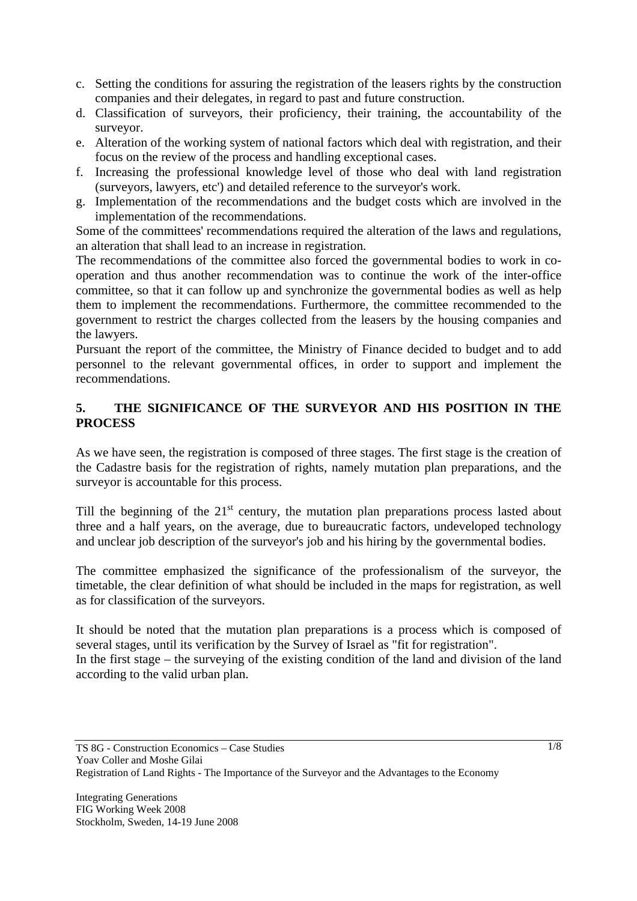- c. Setting the conditions for assuring the registration of the leasers rights by the construction companies and their delegates, in regard to past and future construction.
- d. Classification of surveyors, their proficiency, their training, the accountability of the surveyor.
- e. Alteration of the working system of national factors which deal with registration, and their focus on the review of the process and handling exceptional cases.
- f. Increasing the professional knowledge level of those who deal with land registration (surveyors, lawyers, etc') and detailed reference to the surveyor's work.
- g. Implementation of the recommendations and the budget costs which are involved in the implementation of the recommendations.

Some of the committees' recommendations required the alteration of the laws and regulations, an alteration that shall lead to an increase in registration.

The recommendations of the committee also forced the governmental bodies to work in cooperation and thus another recommendation was to continue the work of the inter-office committee, so that it can follow up and synchronize the governmental bodies as well as help them to implement the recommendations. Furthermore, the committee recommended to the government to restrict the charges collected from the leasers by the housing companies and the lawyers.

Pursuant the report of the committee, the Ministry of Finance decided to budget and to add personnel to the relevant governmental offices, in order to support and implement the recommendations.

# **5. THE SIGNIFICANCE OF THE SURVEYOR AND HIS POSITION IN THE PROCESS**

As we have seen, the registration is composed of three stages. The first stage is the creation of the Cadastre basis for the registration of rights, namely mutation plan preparations, and the surveyor is accountable for this process.

Till the beginning of the  $21<sup>st</sup>$  century, the mutation plan preparations process lasted about three and a half years, on the average, due to bureaucratic factors, undeveloped technology and unclear job description of the surveyor's job and his hiring by the governmental bodies.

The committee emphasized the significance of the professionalism of the surveyor, the timetable, the clear definition of what should be included in the maps for registration, as well as for classification of the surveyors.

It should be noted that the mutation plan preparations is a process which is composed of several stages, until its verification by the Survey of Israel as "fit for registration". In the first stage – the surveying of the existing condition of the land and division of the land according to the valid urban plan.

TS 8G - Construction Economics – Case Studies Yoav Coller and Moshe Gilai Registration of Land Rights - The Importance of the Surveyor and the Advantages to the Economy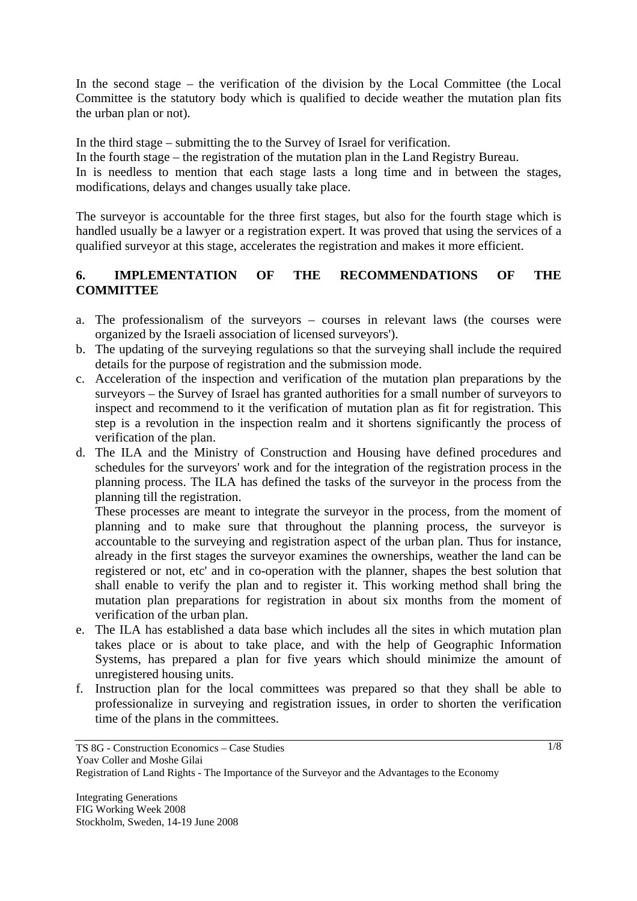In the second stage – the verification of the division by the Local Committee (the Local Committee is the statutory body which is qualified to decide weather the mutation plan fits the urban plan or not).

In the third stage – submitting the to the Survey of Israel for verification.

In the fourth stage – the registration of the mutation plan in the Land Registry Bureau.

In is needless to mention that each stage lasts a long time and in between the stages, modifications, delays and changes usually take place.

The surveyor is accountable for the three first stages, but also for the fourth stage which is handled usually be a lawyer or a registration expert. It was proved that using the services of a qualified surveyor at this stage, accelerates the registration and makes it more efficient.

## **6. IMPLEMENTATION OF THE RECOMMENDATIONS OF THE COMMITTEE**

- a. The professionalism of the surveyors courses in relevant laws (the courses were organized by the Israeli association of licensed surveyors').
- b. The updating of the surveying regulations so that the surveying shall include the required details for the purpose of registration and the submission mode.
- c. Acceleration of the inspection and verification of the mutation plan preparations by the surveyors – the Survey of Israel has granted authorities for a small number of surveyors to inspect and recommend to it the verification of mutation plan as fit for registration. This step is a revolution in the inspection realm and it shortens significantly the process of verification of the plan.
- d. The ILA and the Ministry of Construction and Housing have defined procedures and schedules for the surveyors' work and for the integration of the registration process in the planning process. The ILA has defined the tasks of the surveyor in the process from the planning till the registration.

These processes are meant to integrate the surveyor in the process, from the moment of planning and to make sure that throughout the planning process, the surveyor is accountable to the surveying and registration aspect of the urban plan. Thus for instance, already in the first stages the surveyor examines the ownerships, weather the land can be registered or not, etc' and in co-operation with the planner, shapes the best solution that shall enable to verify the plan and to register it. This working method shall bring the mutation plan preparations for registration in about six months from the moment of verification of the urban plan.

- e. The ILA has established a data base which includes all the sites in which mutation plan takes place or is about to take place, and with the help of Geographic Information Systems, has prepared a plan for five years which should minimize the amount of unregistered housing units.
- f. Instruction plan for the local committees was prepared so that they shall be able to professionalize in surveying and registration issues, in order to shorten the verification time of the plans in the committees.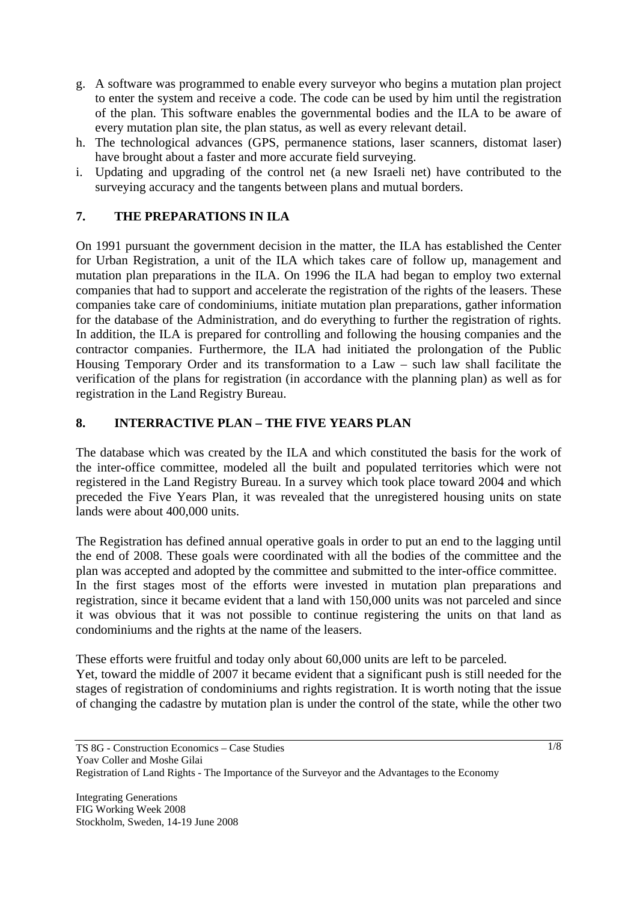- g. A software was programmed to enable every surveyor who begins a mutation plan project to enter the system and receive a code. The code can be used by him until the registration of the plan. This software enables the governmental bodies and the ILA to be aware of every mutation plan site, the plan status, as well as every relevant detail.
- h. The technological advances (GPS, permanence stations, laser scanners, distomat laser) have brought about a faster and more accurate field surveying.
- i. Updating and upgrading of the control net (a new Israeli net) have contributed to the surveying accuracy and the tangents between plans and mutual borders.

## **7. THE PREPARATIONS IN ILA**

On 1991 pursuant the government decision in the matter, the ILA has established the Center for Urban Registration, a unit of the ILA which takes care of follow up, management and mutation plan preparations in the ILA. On 1996 the ILA had began to employ two external companies that had to support and accelerate the registration of the rights of the leasers. These companies take care of condominiums, initiate mutation plan preparations, gather information for the database of the Administration, and do everything to further the registration of rights. In addition, the ILA is prepared for controlling and following the housing companies and the contractor companies. Furthermore, the ILA had initiated the prolongation of the Public Housing Temporary Order and its transformation to a Law – such law shall facilitate the verification of the plans for registration (in accordance with the planning plan) as well as for registration in the Land Registry Bureau.

#### **8. INTERRACTIVE PLAN – THE FIVE YEARS PLAN**

The database which was created by the ILA and which constituted the basis for the work of the inter-office committee, modeled all the built and populated territories which were not registered in the Land Registry Bureau. In a survey which took place toward 2004 and which preceded the Five Years Plan, it was revealed that the unregistered housing units on state lands were about 400,000 units.

The Registration has defined annual operative goals in order to put an end to the lagging until the end of 2008. These goals were coordinated with all the bodies of the committee and the plan was accepted and adopted by the committee and submitted to the inter-office committee. In the first stages most of the efforts were invested in mutation plan preparations and registration, since it became evident that a land with 150,000 units was not parceled and since it was obvious that it was not possible to continue registering the units on that land as condominiums and the rights at the name of the leasers.

These efforts were fruitful and today only about 60,000 units are left to be parceled. Yet, toward the middle of 2007 it became evident that a significant push is still needed for the stages of registration of condominiums and rights registration. It is worth noting that the issue of changing the cadastre by mutation plan is under the control of the state, while the other two

TS 8G - Construction Economics – Case Studies Yoav Coller and Moshe Gilai Registration of Land Rights - The Importance of the Surveyor and the Advantages to the Economy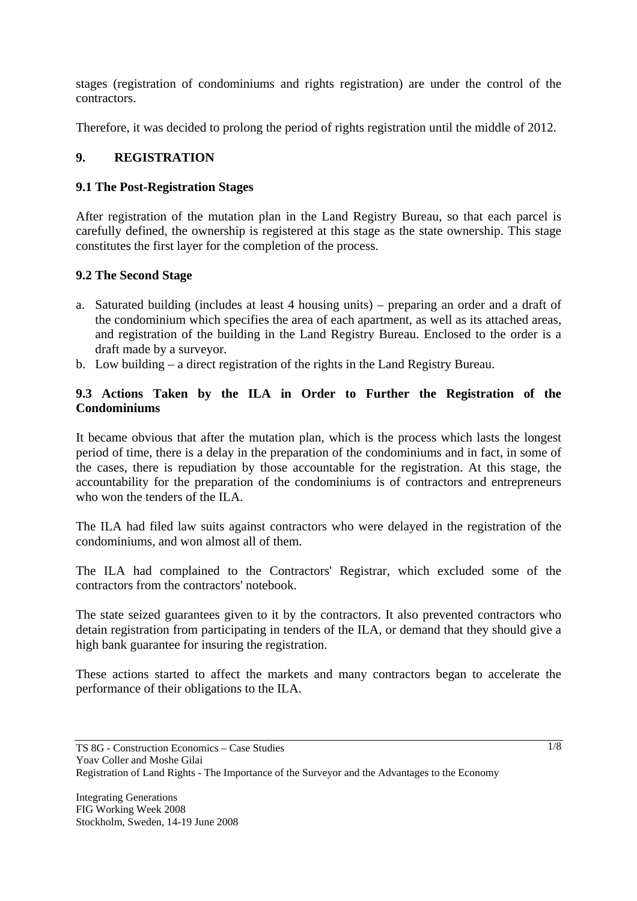stages (registration of condominiums and rights registration) are under the control of the contractors.

Therefore, it was decided to prolong the period of rights registration until the middle of 2012.

# **9. REGISTRATION**

## **9.1 The Post-Registration Stages**

After registration of the mutation plan in the Land Registry Bureau, so that each parcel is carefully defined, the ownership is registered at this stage as the state ownership. This stage constitutes the first layer for the completion of the process.

#### **9.2 The Second Stage**

- a. Saturated building (includes at least 4 housing units) preparing an order and a draft of the condominium which specifies the area of each apartment, as well as its attached areas, and registration of the building in the Land Registry Bureau. Enclosed to the order is a draft made by a surveyor.
- b. Low building a direct registration of the rights in the Land Registry Bureau.

#### **9.3 Actions Taken by the ILA in Order to Further the Registration of the Condominiums**

It became obvious that after the mutation plan, which is the process which lasts the longest period of time, there is a delay in the preparation of the condominiums and in fact, in some of the cases, there is repudiation by those accountable for the registration. At this stage, the accountability for the preparation of the condominiums is of contractors and entrepreneurs who won the tenders of the ILA.

The ILA had filed law suits against contractors who were delayed in the registration of the condominiums, and won almost all of them.

The ILA had complained to the Contractors' Registrar, which excluded some of the contractors from the contractors' notebook.

The state seized guarantees given to it by the contractors. It also prevented contractors who detain registration from participating in tenders of the ILA, or demand that they should give a high bank guarantee for insuring the registration.

These actions started to affect the markets and many contractors began to accelerate the performance of their obligations to the ILA.

Yoav Coller and Moshe Gilai

TS 8G - Construction Economics – Case Studies

Registration of Land Rights - The Importance of the Surveyor and the Advantages to the Economy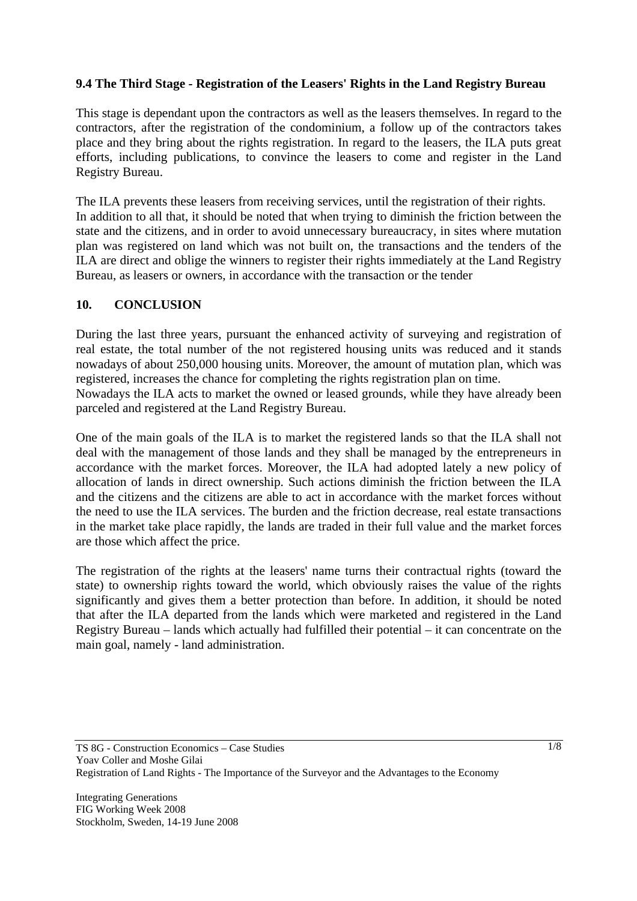## **9.4 The Third Stage - Registration of the Leasers' Rights in the Land Registry Bureau**

This stage is dependant upon the contractors as well as the leasers themselves. In regard to the contractors, after the registration of the condominium, a follow up of the contractors takes place and they bring about the rights registration. In regard to the leasers, the ILA puts great efforts, including publications, to convince the leasers to come and register in the Land Registry Bureau.

The ILA prevents these leasers from receiving services, until the registration of their rights. In addition to all that, it should be noted that when trying to diminish the friction between the state and the citizens, and in order to avoid unnecessary bureaucracy, in sites where mutation plan was registered on land which was not built on, the transactions and the tenders of the ILA are direct and oblige the winners to register their rights immediately at the Land Registry Bureau, as leasers or owners, in accordance with the transaction or the tender

#### **10. CONCLUSION**

parceled and registered at the Land Registry Bureau.

During the last three years, pursuant the enhanced activity of surveying and registration of real estate, the total number of the not registered housing units was reduced and it stands nowadays of about 250,000 housing units. Moreover, the amount of mutation plan, which was registered, increases the chance for completing the rights registration plan on time. Nowadays the ILA acts to market the owned or leased grounds, while they have already been

One of the main goals of the ILA is to market the registered lands so that the ILA shall not deal with the management of those lands and they shall be managed by the entrepreneurs in accordance with the market forces. Moreover, the ILA had adopted lately a new policy of allocation of lands in direct ownership. Such actions diminish the friction between the ILA and the citizens and the citizens are able to act in accordance with the market forces without the need to use the ILA services. The burden and the friction decrease, real estate transactions in the market take place rapidly, the lands are traded in their full value and the market forces

The registration of the rights at the leasers' name turns their contractual rights (toward the state) to ownership rights toward the world, which obviously raises the value of the rights significantly and gives them a better protection than before. In addition, it should be noted that after the ILA departed from the lands which were marketed and registered in the Land Registry Bureau – lands which actually had fulfilled their potential – it can concentrate on the main goal, namely - land administration.

are those which affect the price.